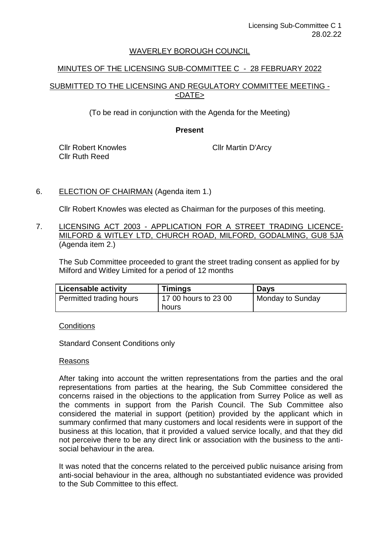## WAVERLEY BOROUGH COUNCIL

## MINUTES OF THE LICENSING SUB-COMMITTEE C - 28 FEBRUARY 2022

# SUBMITTED TO THE LICENSING AND REGULATORY COMMITTEE MEETING - <DATE>

(To be read in conjunction with the Agenda for the Meeting)

### **Present**

Cllr Robert Knowles Cllr Ruth Reed

Cllr Martin D'Arcy

# 6. ELECTION OF CHAIRMAN (Agenda item 1.)

Cllr Robert Knowles was elected as Chairman for the purposes of this meeting.

7. LICENSING ACT 2003 - APPLICATION FOR A STREET TRADING LICENCE-MILFORD & WITLEY LTD, CHURCH ROAD, MILFORD, GODALMING, GU8 5JA (Agenda item 2.)

The Sub Committee proceeded to grant the street trading consent as applied for by Milford and Witley Limited for a period of 12 months

| <b>Licensable activity</b> | <b>Timings</b>       | <b>Days</b>      |
|----------------------------|----------------------|------------------|
| Permitted trading hours    | 17 00 hours to 23 00 | Monday to Sunday |
|                            | hours                |                  |

**Conditions** 

Standard Consent Conditions only

#### Reasons

After taking into account the written representations from the parties and the oral representations from parties at the hearing, the Sub Committee considered the concerns raised in the objections to the application from Surrey Police as well as the comments in support from the Parish Council. The Sub Committee also considered the material in support (petition) provided by the applicant which in summary confirmed that many customers and local residents were in support of the business at this location, that it provided a valued service locally, and that they did not perceive there to be any direct link or association with the business to the antisocial behaviour in the area.

It was noted that the concerns related to the perceived public nuisance arising from anti-social behaviour in the area, although no substantiated evidence was provided to the Sub Committee to this effect.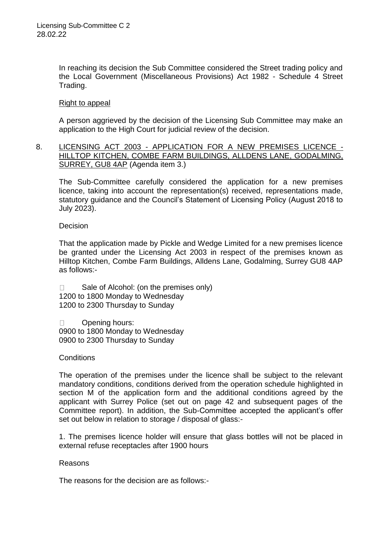In reaching its decision the Sub Committee considered the Street trading policy and the Local Government (Miscellaneous Provisions) Act 1982 - Schedule 4 Street Trading.

### Right to appeal

A person aggrieved by the decision of the Licensing Sub Committee may make an application to the High Court for judicial review of the decision.

8. LICENSING ACT 2003 - APPLICATION FOR A NEW PREMISES LICENCE - HILLTOP KITCHEN, COMBE FARM BUILDINGS, ALLDENS LANE, GODALMING, SURREY, GU8 4AP (Agenda item 3.)

The Sub-Committee carefully considered the application for a new premises licence, taking into account the representation(s) received, representations made, statutory guidance and the Council's Statement of Licensing Policy (August 2018 to July 2023).

**Decision** 

That the application made by Pickle and Wedge Limited for a new premises licence be granted under the Licensing Act 2003 in respect of the premises known as Hilltop Kitchen, Combe Farm Buildings, Alldens Lane, Godalming, Surrey GU8 4AP as follows:-

 $\Box$ Sale of Alcohol: (on the premises only) 1200 to 1800 Monday to Wednesday 1200 to 2300 Thursday to Sunday

Opening hours:  $\Box$ 0900 to 1800 Monday to Wednesday 0900 to 2300 Thursday to Sunday

#### **Conditions**

The operation of the premises under the licence shall be subject to the relevant mandatory conditions, conditions derived from the operation schedule highlighted in section M of the application form and the additional conditions agreed by the applicant with Surrey Police (set out on page 42 and subsequent pages of the Committee report). In addition, the Sub-Committee accepted the applicant's offer set out below in relation to storage / disposal of glass:-

1. The premises licence holder will ensure that glass bottles will not be placed in external refuse receptacles after 1900 hours

#### Reasons

The reasons for the decision are as follows:-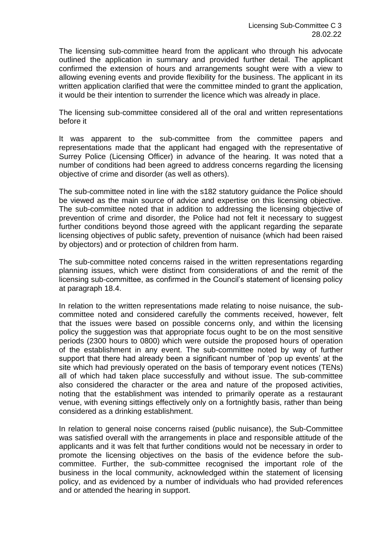The licensing sub-committee heard from the applicant who through his advocate outlined the application in summary and provided further detail. The applicant confirmed the extension of hours and arrangements sought were with a view to allowing evening events and provide flexibility for the business. The applicant in its written application clarified that were the committee minded to grant the application, it would be their intention to surrender the licence which was already in place.

The licensing sub-committee considered all of the oral and written representations before it

It was apparent to the sub-committee from the committee papers and representations made that the applicant had engaged with the representative of Surrey Police (Licensing Officer) in advance of the hearing. It was noted that a number of conditions had been agreed to address concerns regarding the licensing objective of crime and disorder (as well as others).

The sub-committee noted in line with the s182 statutory guidance the Police should be viewed as the main source of advice and expertise on this licensing objective. The sub-committee noted that in addition to addressing the licensing objective of prevention of crime and disorder, the Police had not felt it necessary to suggest further conditions beyond those agreed with the applicant regarding the separate licensing objectives of public safety, prevention of nuisance (which had been raised by objectors) and or protection of children from harm.

The sub-committee noted concerns raised in the written representations regarding planning issues, which were distinct from considerations of and the remit of the licensing sub-committee, as confirmed in the Council's statement of licensing policy at paragraph 18.4.

In relation to the written representations made relating to noise nuisance, the subcommittee noted and considered carefully the comments received, however, felt that the issues were based on possible concerns only, and within the licensing policy the suggestion was that appropriate focus ought to be on the most sensitive periods (2300 hours to 0800) which were outside the proposed hours of operation of the establishment in any event. The sub-committee noted by way of further support that there had already been a significant number of 'pop up events' at the site which had previously operated on the basis of temporary event notices (TENs) all of which had taken place successfully and without issue. The sub-committee also considered the character or the area and nature of the proposed activities, noting that the establishment was intended to primarily operate as a restaurant venue, with evening sittings effectively only on a fortnightly basis, rather than being considered as a drinking establishment.

In relation to general noise concerns raised (public nuisance), the Sub-Committee was satisfied overall with the arrangements in place and responsible attitude of the applicants and it was felt that further conditions would not be necessary in order to promote the licensing objectives on the basis of the evidence before the subcommittee. Further, the sub-committee recognised the important role of the business in the local community, acknowledged within the statement of licensing policy, and as evidenced by a number of individuals who had provided references and or attended the hearing in support.